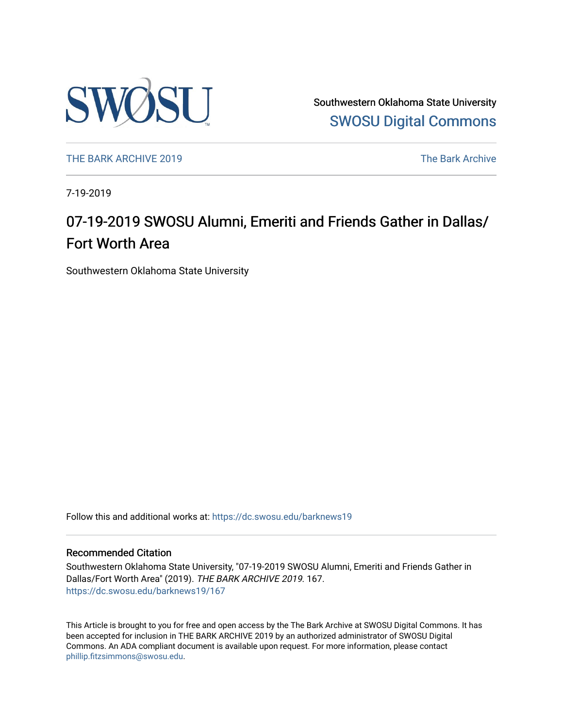

Southwestern Oklahoma State University [SWOSU Digital Commons](https://dc.swosu.edu/) 

[THE BARK ARCHIVE 2019](https://dc.swosu.edu/barknews19) The Bark Archive

7-19-2019

### 07-19-2019 SWOSU Alumni, Emeriti and Friends Gather in Dallas/ Fort Worth Area

Southwestern Oklahoma State University

Follow this and additional works at: [https://dc.swosu.edu/barknews19](https://dc.swosu.edu/barknews19?utm_source=dc.swosu.edu%2Fbarknews19%2F167&utm_medium=PDF&utm_campaign=PDFCoverPages)

#### Recommended Citation

Southwestern Oklahoma State University, "07-19-2019 SWOSU Alumni, Emeriti and Friends Gather in Dallas/Fort Worth Area" (2019). THE BARK ARCHIVE 2019. 167. [https://dc.swosu.edu/barknews19/167](https://dc.swosu.edu/barknews19/167?utm_source=dc.swosu.edu%2Fbarknews19%2F167&utm_medium=PDF&utm_campaign=PDFCoverPages)

This Article is brought to you for free and open access by the The Bark Archive at SWOSU Digital Commons. It has been accepted for inclusion in THE BARK ARCHIVE 2019 by an authorized administrator of SWOSU Digital Commons. An ADA compliant document is available upon request. For more information, please contact [phillip.fitzsimmons@swosu.edu](mailto:phillip.fitzsimmons@swosu.edu).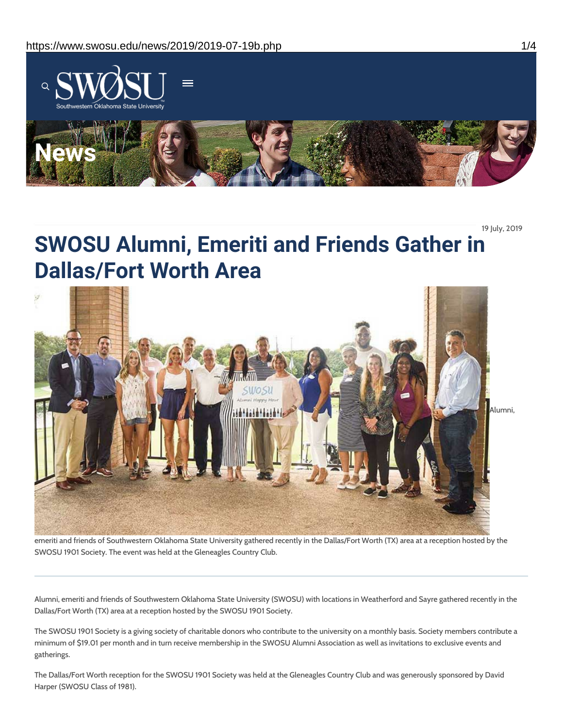

19 July, 2019

## **SWOSU Alumni, Emeriti and Friends Gather in Dallas/Fort Worth Area**



emeriti and friends of Southwestern Oklahoma State University gathered recently in the Dallas/Fort Worth (TX) area at a reception hosted by the SWOSU 1901 Society. The event was held at the Gleneagles Country Club.

Alumni, emeriti and friends of Southwestern Oklahoma State University (SWOSU) with locations in Weatherford and Sayre gathered recently in the Dallas/Fort Worth (TX) area at a reception hosted by the SWOSU 1901 Society.

The SWOSU 1901 Society is a giving society of charitable donors who contribute to the university on a monthly basis. Society members contribute a minimum of \$19.01 per month and in turn receive membership in the SWOSU Alumni Association as well as invitations to exclusive events and gatherings.

The Dallas/Fort Worth reception for the SWOSU 1901 Society was held at the Gleneagles Country Club and was generously sponsored by David Harper (SWOSU Class of 1981).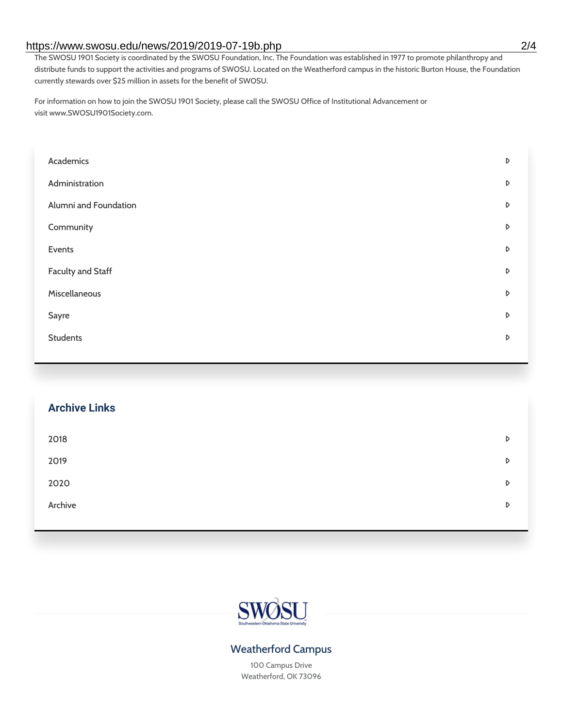#### https://www.swosu.edu/news/2019/2019-07-19b.php 2/4

The SWOSU 1901 Society is coordinated by the SWOSU Foundation, Inc. The Foundation was established in 1977 to promote philanthropy and distribute funds to support the activities and programs of SWOSU. Located on the Weatherford campus in the historic Burton House, the Foundation currently stewards over \$25 million in assets for the benefit of SWOSU.

For information on how to join the SWOSU 1901 Society, please call the SWOSU Office of Institutional Advancement or visit www.SWOSU1901Society.com.

| Academics                | D |
|--------------------------|---|
| Administration           | D |
| Alumni and Foundation    | D |
| Community                | D |
| Events                   | D |
| <b>Faculty and Staff</b> | D |
| Miscellaneous            | D |
| Sayre                    | D |
| <b>Students</b>          | D |
|                          |   |

# **Archive Links**  $2018$  $2019$ [2020](https://www.swosu.edu/news/2020/index.php)  $\bullet$ [Archive](https://dc.swosu.edu/bark/) **Archive Archive Archive Archive Archive** Archive Archive Archive Archive Archive Archive Archive Archive



### Weatherford Campus

100 Campus Drive Weatherford, OK 73096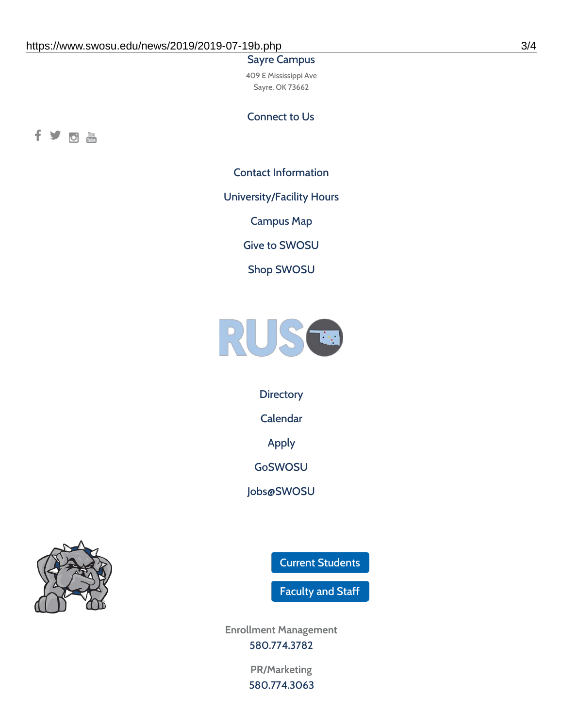#### Sayre Campus

409 E Mississippi Ave Sayre, OK 73662

Connect to Us



Contact [Information](https://www.swosu.edu/about/contact.php)

[University/Facility](https://www.swosu.edu/about/operating-hours.php) Hours

[Campus](https://map.concept3d.com/?id=768#!ct/10964,10214,10213,10212,10205,10204,10203,10202,10136,10129,10128,0,31226,10130,10201,10641,0) Map

Give to [SWOSU](https://standingfirmly.com/donate)

Shop [SWOSU](https://shopswosu.merchorders.com/)



**[Directory](https://www.swosu.edu/directory/index.php)** 

[Calendar](https://eventpublisher.dudesolutions.com/swosu/)

[Apply](https://www.swosu.edu/admissions/apply-to-swosu.php)

[GoSWOSU](https://qlsso.quicklaunchsso.com/home/1267)

[Jobs@SWOSU](https://swosu.csod.com/ux/ats/careersite/1/home?c=swosu)



Current [Students](https://bulldog.swosu.edu/index.php)

[Faculty](https://bulldog.swosu.edu/faculty-staff/index.php) and Staff

**Enrollment Management** [580.774.3782](tel:5807743782)

> **PR/Marketing** [580.774.3063](tel:5807743063)